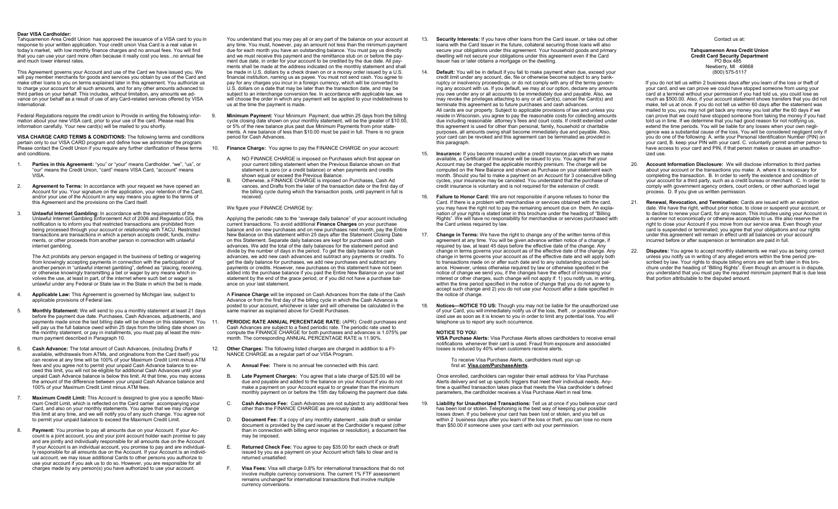#### **Dear VISA Cardholder:**

Tahquamenon Area Credit Union has approved the issuance of a VISA card to you in response to your written application. Your credit union Visa Card is a real value in today's market, with low monthly finance charges and no annual fees. You will find that you can use your card more often because it really cost you less...no annual fee and much lower interest rates.

This Agreement governs your Account and use of the Card we have issued you. We will pay member merchants for goods and services you obtain by use of the Card and make other loans to you on terms explained later in this agreement. You authorize us to charge your account for all such amounts, and for any other amounts advanced to third parties on your behalf. This includes, without limitation, any amounts we advance on your behalf as a result of use of any Card-related services offered by VISA International.

Federal Regulations require the credit union to Provide in writing the following infor-<br>9. mation about your new VISA card, prior to your use of the card. Please read this information carefully. Your new card(s) will be mailed to you shortly.

**VISA CHARGE CARD TERMS & CONDITIONS:** The following terms and conditions pertain only to our VISA CARD program and define how we administer the program. Please contact the Credit Union if you require any further clarification of these terms and conditions.

- Parties in this Agreement: "you" or "your" means Cardholder. "we", "us", or "our" means the Credit Union, "card" means VISA Card, "account" means  $VIRA$
- 2. **Agreement to Terms:** In accordance with your request we have opened an Account for you. Your signature on the application, your retention of the Card, and/or your use of the Account in any way means you agree to the terms of this Agreement and the provisions on the Card itself.
- 3. **Unlawful Internet Gambling:** In accordance with the requirements of the Unlawful Internet Gambling Enforcement Act of 2006 and Regulation GG, this notification is to inform you that restricted transactions are prohibited from being processed through your account or relationship with TACU. Restricted transactions are transactions in which a person accepts credit, funds, instruments, or other proceeds from another person in connection with unlawful internet gambling.

The Act prohibits any person engaged in the business of betting or wagering from knowingly accepting payments in connection with the participation of another person in "unlawful internet gambling", defined as "placing, receiving, or otherwise knowingly transmitting a bet or wager by any means which involves the use, at least in part, of the internet where such bet or wager is unlawful under any Federal or State law in the State in which the bet is made.

- 4. **Applicable Law:** This Agreement is governed by Michigan law, subject to applicable provisions of Federal law.
- 5. **Monthly Statement:** We will send to you a monthly statement at least 21 days before the payment due date. Purchases, Cash Advances, adjustments, and payments made since the last billing date will be shown on this statement. You 11. will pay us the full balance owed within 25 days from the billing date shown on the monthly statement, or pay in installments, you must pay at least the minimum payment described in Paragraph 10.
- 6. **Cash Advance:** The total amount of Cash Advances, (including Drafts if available, withdrawals from ATMs, and originations from the Card itself) you can receive at any time will be 100% of your Maximum Credit Limit minus ATM fees and you agree not to permit your unpaid Cash Advance balance to exceed this limit, you will not be eligible for additional Cash Advances until your unpaid Cash Advance balance is below this limit. At that time, you may access the amount of the difference between your unpaid Cash Advance balance and 100% of your Maximum Credit Limit minus ATM fees.
- 7. **Maximum Credit Limit:** This Account is designed to give you a specific Maximum Credit Limit, which is reflected on the Card carrier accompanying your Card, and also on your monthly statements. You agree that we may change this limit at any time, and we will notify you of any such change. You agree not to permit your unpaid balance to exceed the Maximum Credit Limit.
- 8. **Payment:** You promise to pay all amounts due on your Account. If your Account is a joint account, you and your joint account holder each promise to pay and are jointly and individually responsible for all amounts due on the Account. If your Account is an individual account, you promise to pay and are individually responsible for all amounts due on the Account. If your Account is an individual account, we may issue additional Cards to other persons you authorize to use your account if you ask us to do so. However, you are responsible for all charges made by any person(s) you have authorized to use your account.

You understand that you may pay all or any part of the balance on your account at any time. You must, however, pay an amount not less than the minimum payment due for each month you have an outstanding balance. You must pay us directly and we must receive this payment and the remittance stub on or before the payment due date, in order for your account to be credited by the due date. All payments shall be made at the address indicated on the monthly statement and shall be made in U.S. dollars by a check drawn on or a money order issued by a U.S. financial institution, naming us as payee. You must not send cash. You agree to pay for any charges you incur in a foreign currency, which will be converted to U.S. dollars on a date that may be later than the transaction date, and may be subject to an interchange conversion fee. In accordance with applicable law, we will choose the order in which any payment will be applied to your indebtedness to us at the time the payment is made.

9. **Minimum Payment:** Your Minimum Payment, due within 25 days from the billing cycle closing date shown on your monthly statement, will be the greater of \$10.00, or 5% of the new balance plus past due Minimum Payments from prior statements. A new balance of less than \$10.00 must be paid in full. There is no grace period for Cash Advances.

10. **Finance Charge:** You agree to pay the FINANCE CHARGE on your account:

- A. NO FINANCE CHARGE is imposed on Purchases which first appear on your current billing statement when the Previous Balance shown on that statement is zero (or a credit balance) or when payments and credits shown equal or exceed the Previous Balance.
- B. Otherwise, a FINANCE CHARGE is imposed on Purchases, Cash Ad vances, and Drafts from the later of the transaction date or the first day of the billing cycle during which the transaction posts, until payment in full is received.

We figure your FINANCE CHARGE by:

Applying the periodic rate to the "average daily balance" of your account including current transactions. To avoid additional **Finance Charges** on your purchase balance and on new purchases and on new purchases next month, pay the Entire New Balance on this statement within 25 days after the Statement Closing Date on this Statement. Separate daily balances are kept for purchases and cash advances. We add the total of the daily balances for the statement period and divide by the number of days in the period. To get the daily balance for cash advances, we add new cash advances and subtract any payments or credits. To get the daily balance for purchases, we add new purchases and subtract any payments or credits. However, new purchases on this statement have not been added into the purchase balance if you paid the Entire New Balance on your last statement by the end of the grace period, or if you did not have a purchase balance on your last statement.

A **Finance Charge** will be imposed on Cash Advances from the date of the Cash Advance or from the first day of the billing cycle in which the Cash Advance is posted to your account, whichever is later and will otherwise be calculated in the same manner as explained above for Credit Purchases.

- PERIODIC RATE ANNUAL PERCENTAGE RATE: (APR): Credit purchases and Cash Advances are subject to a fixed periodic rate. The periodic rate used to compute the FINANCE CHARGE for both purchases and advances is 1.075% per month. The corresponding ANNUAL PERCENTAGE RATE is 11.90%.
- 12. **Other Charges:** The following listed charges are charged in addition to a FI-NANCE CHARGE as a regular part of our VISA Program.
	- A. **Annual Fee:** There is no annual fee connected with this card.
	- B. **Late Payment Charges:** You agree that a late charge of \$25.00 will be due and payable and added to the balance on your Account if you do not make a payment on your Account equal to or greater than the minimum monthly payment on or before the 15th day following the payment due date.
	- C. **Cash Advance Fee:** Cash Advances are not subject to any additional fees other than the FINANCE CHARGE as previously stated.
	- D. **Document Fee:** If a copy of any monthly statement , sale draft or similar document is provided by the card issuer at the Cardholder's request (other than in connection with billing error inquiries or resolution), a document fee may be imposed.
	- E. **Returned Check Fee:** You agree to pay \$35.00 for each check or draft issued by you as a payment on your Account which fails to clear and is returned unsatisfied.
	- F. **Visa Fees:** Visa will charge 0.8% for international transactions that do not involve multiple currency conversions. The current 1% FTF assessment remains unchanged for international transactions that involve multiple currency conversions.
- 13. **Security Interests:** If you have other loans from the Card issuer, or take out other loans with the Card Issuer in the future, collateral securing those loans will also secure your obligations under this agreement. Your household goods and primary dwelling will not secure your obligations under this agreement even if the Card Issuer has or later obtains a mortgage on the dwelling.
- 14. **Default:** You will be in default if you fail to make payment when due, exceed your credit limit under any account, die, file or otherwise become subject to any bankruptcy or insolvency proceedings, or do not comply with any of the terms governing any account with us. If you default, we may at our option, declare any amounts you owe under any or all accounts to be immediately due and payable. Also, we may revoke the privileges attaching to any or all Card(s), cancel the Card(s) and terminate this agreement as to future purchases and cash advances. All cards are our property. Subject to applicable provisions of law and unless you reside in Wisconsin, you agree to pay the reasonable costs for collecting amounts due including reasonable attorney's fees and court costs. If credit extended under this agreement is used for other than personal, family, household or charitable purposes, all amounts owing shall become immediately due and payable. Also, your card can be revoked and this agreement can be terminated as provided in this paragraph.
- 15. **Insurance:** If you become insured under a credit insurance plan which we make available, a Certificate of Insurance will be issued to you. You agree that your Account may be charged the applicable monthly premium. The charge will be computed on the New Balance and shown as Purchase on your statement each month. Should you fail to make a payment on an Account for 3 consecutive billing cycles, your insurance may be canceled. You understand that the purchase of credit insurance is voluntary and is not required for the extension of credit.
- 16. **Failure to Honor Card:** We are not responsible if anyone refuses to honor the Card. If there is a problem with merchandise or services obtained with the card, you may have the right not to pay the remaining amount due on them. An explanation of your rights is stated later in this brochure under the heading of "Billing Rights". We will have no responsibility for merchandise or services purchased with the Card unless required by law.
- 17. **Change in Terms:** We have the right to change any of the written terms of this agreement at any time. You will be given advance written notice of a change, if required by law, at least 45 days before the effective date of the change. Any change in terms governs your account as of the effective date of the change. Any change in terms governs your account as of the effective date and will apply both to transactions made on or after such date and to any outstanding account balance. However, unless otherwise required by law or otherwise specified in the notice of change we send you, if the changes have the effect of increasing your interest or other charges, such change will not apply if: 1) you notify us, in writing, within the time period specified in the notice of change that you do not agree to accept such change and 2) you do not use your Account after a date specified in the notice of change.
- 18. **Notices—NOTICE TO US:** Though you may not be liable for the unauthorized use of your Card, you will immediately notify us of the loss, theft , or possible unauthorized use as soon as it is known to you in order to limit any potential loss. You will telephone us to report any such occurrence.

#### **NOTICE TO YOU:**

**VISA Purchase Alerts:** Visa Purchase Alerts allows cardholders to receive email notifications whenever their card is used. Fraud from exposure and associated losses is reduced by 40% when customers receive alerts.

To receive Visa Purchase Alerts, cardholders must sign up first at: **Visa.com/PurchaseAlerts**.

 Once enrolled, cardholders can register their email address for Visa Purchase Alerts delivery and set up specific triggers that meet their individual needs. Anytime a qualified transaction takes place that meets the Visa cardholder's defined parameters, the cardholder receives a Visa Purchase Alert in real time.

19. **Liability for Unauthorized Transactions:** Tell us at once if you believe your card has been lost or stolen. Telephoning is the best way of keeping your possible losses down. If you believe your card has been lost or stolen, and you tell us within 2 business days after you learn of the loss or theft, you can lose no more than \$50.00 if someone uses your card with out your permission.

#### Contact us at:

**Tahquamenon Area Credit Union Credit Card Security Department** PO Box 485 Newberry, MI 49868 (800) 575-5117

If you do not tell us within 2 business days after you learn of the loss or theft of your card, and we can prove we could have stopped someone from using your card at a terminal without your permission if you had told us, you could lose as much as \$500.00. Also, if your account statement shows transfers that you did not make, tell us at once. If you do not tell us within 60 days after the statement was mailed to you, you may not get back any money you lost after the 60 days if we can prove that we could have stopped someone from taking the money if you had told us in time. If we determine that you had good reason for not notifying us, extend the time periods. You will be liable for any losses when your own negligence was a substantial cause of the loss. You will be considered negligent only if you do one of the following: A. write your Personal Identification Number (PIN) on your card, B. keep your PIN with your card. C. voluntarily permit another person to have access to your card and PIN, if that person makes or causes an unauthorized use.

- 20. **Account Information Disclosure:** We will disclose information to third parties about your account or the transactions you make: A. where it is necessary for completing the transaction. B. In order to verify the existence and condition of your account for a third party, such as a credit bureau or merchant. C. In order to comply with government agency orders, court orders, or other authorized legal process. D. If you give us written permission.
- 21. **Renewal, Revocation, and Termination:** Cards are issued with an expiration date. We have the right, without prior notice, to close or suspend your account, or to decline to renew your Card, for any reason. This includes using your Account in a manner not economically or otherwise acceptable to us. We also reserve the right to close your Account if you move from our service area. Even though your card is suspended or terminated, you agree that your obligations and our rights under this agreement will remain in effect until all balances on your account incurred before or after suspension or termination are paid in full.
- 22. **Disputes:** You agree to accept monthly statements we mail you as being correct unless you notify us in writing of any alleged errors within the time period prescribed by law. Your rights to dispute billing errors are set forth later in this brochure under the heading of "Billing Rights". Even though an amount is in dispute, you understand that you must pay the required minimum payment that is due less that portion attributable to the disputed amount.